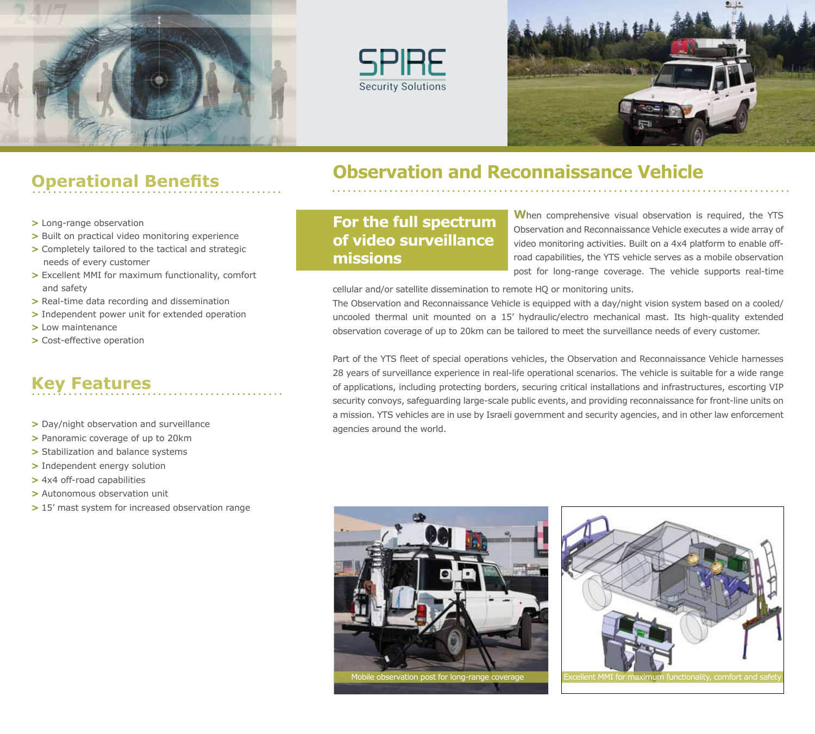





# **Operational Benefits**

- **>** Long-range observation
- **>** Built on practical video monitoring experience
- **>** Completely tailored to the tactical and strategic needs of every customer
- **>** Excellent MMI for maximum functionality, comfort and safety
- **>** Real-time data recording and dissemination
- **>** Independent power unit for extended operation
- **>** Low maintenance
- **>** Cost-effective operation

## **Key Features**

- **>** Day/night observation and surveillance
- **>** Panoramic coverage of up to 20km
- **>** Stabilization and balance systems
- **>** Independent energy solution
- **>** 4x4 off-road capabilities
- **>** Autonomous observation unit
- **>** 15' mast system for increased observation range

### **Observation and Reconnaissance Vehicle**

**For the full spectrum of video surveillance missions**

**W**hen comprehensive visual observation is required, the YTS Observation and Reconnaissance Vehicle executes a wide array of video monitoring activities. Built on a 4x4 platform to enable offroad capabilities, the YTS vehicle serves as a mobile observation post for long-range coverage. The vehicle supports real-time

cellular and/or satellite dissemination to remote HQ or monitoring units.

The Observation and Reconnaissance Vehicle is equipped with a day/night vision system based on a cooled/ uncooled thermal unit mounted on a 15' hydraulic/electro mechanical mast. Its high-quality extended observation coverage of up to 20km can be tailored to meet the surveillance needs of every customer.

Part of the YTS fleet of special operations vehicles, the Observation and Reconnaissance Vehicle harnesses 28 years of surveillance experience in real-life operational scenarios. The vehicle is suitable for a wide range of applications, including protecting borders, securing critical installations and infrastructures, escorting VIP security convoys, safeguarding large-scale public events, and providing reconnaissance for front-line units on a mission. YTS vehicles are in use by Israeli government and security agencies, and in other law enforcement agencies around the world.